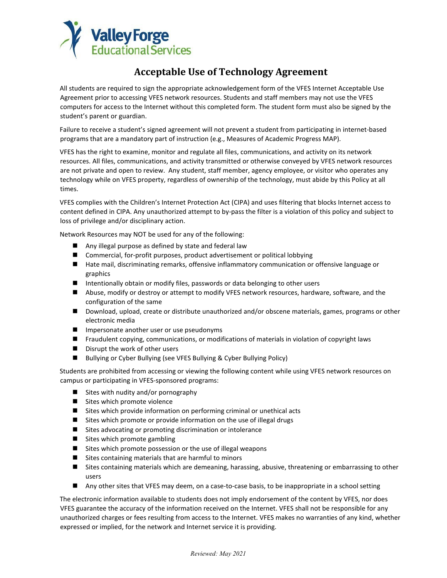

## **Acceptable Use of Technology Agreement**

All students are required to sign the appropriate acknowledgement form of the VFES Internet Acceptable Use Agreement prior to accessing VFES network resources. Students and staff members may not use the VFES computers for access to the Internet without this completed form. The student form must also be signed by the student's parent or guardian.

Failure to receive a student's signed agreement will not prevent a student from participating in internet-based programs that are a mandatory part of instruction (e.g., Measures of Academic Progress MAP).

VFES has the right to examine, monitor and regulate all files, communications, and activity on its network resources. All files, communications, and activity transmitted or otherwise conveyed by VFES network resources are not private and open to review. Any student, staff member, agency employee, or visitor who operates any technology while on VFES property, regardless of ownership of the technology, must abide by this Policy at all times.

VFES complies with the Children's Internet Protection Act (CIPA) and uses filtering that blocks Internet access to content defined in CIPA. Any unauthorized attempt to by-pass the filter is a violation of this policy and subject to loss of privilege and/or disciplinary action.

Network Resources may NOT be used for any of the following:

- Any illegal purpose as defined by state and federal law
- Commercial, for-profit purposes, product advertisement or political lobbying
- Hate mail, discriminating remarks, offensive inflammatory communication or offensive language or graphics
- Intentionally obtain or modify files, passwords or data belonging to other users
- Abuse, modify or destroy or attempt to modify VFES network resources, hardware, software, and the configuration of the same
- Download, upload, create or distribute unauthorized and/or obscene materials, games, programs or other electronic media
- $\blacksquare$  Impersonate another user or use pseudonyms
- Fraudulent copying, communications, or modifications of materials in violation of copyright laws
- Disrupt the work of other users
- Bullying or Cyber Bullying (see VFES Bullying & Cyber Bullying Policy)

Students are prohibited from accessing or viewing the following content while using VFES network resources on campus or participating in VFES-sponsored programs:

- $\blacksquare$  Sites with nudity and/or pornography
- Sites which promote violence
- Sites which provide information on performing criminal or unethical acts
- Sites which promote or provide information on the use of illegal drugs
- Sites advocating or promoting discrimination or intolerance
- Sites which promote gambling
- $\blacksquare$  Sites which promote possession or the use of illegal weapons
- Sites containing materials that are harmful to minors
- Sites containing materials which are demeaning, harassing, abusive, threatening or embarrassing to other users
- Any other sites that VFES may deem, on a case-to-case basis, to be inappropriate in a school setting

The electronic information available to students does not imply endorsement of the content by VFES, nor does VFES guarantee the accuracy of the information received on the Internet. VFES shall not be responsible for any unauthorized charges or fees resulting from access to the Internet. VFES makes no warranties of any kind, whether expressed or implied, for the network and Internet service it is providing.